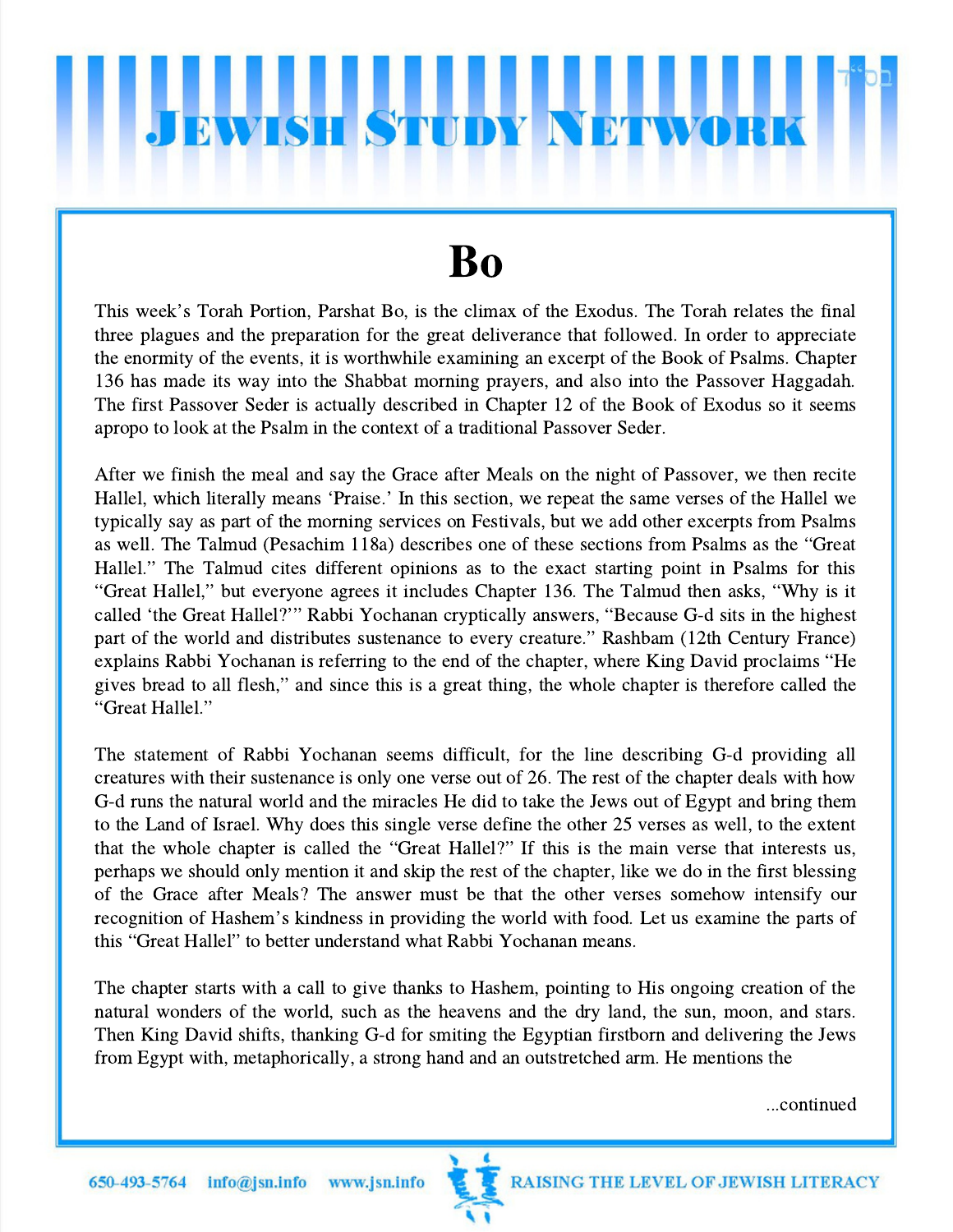## **WISH STUD**

## Bo

This week's Torah Portion, Parshat Bo, is the climax of the Exodus. The Torah relates the final three plagues and the preparation for the great deliverance that followed. In order to appreciate the enormity of the events, it is worthwhile examining an excerpt of the Book of Psalms. Chapter 136 has made its way into the Shabbat morning prayers, and also into the Passover Haggadah. The first Passover Seder is actually described in Chapter 12 of the Book of Exodus so it seems apropo to look at the Psalm in the context of a traditional Passover Seder.

After we finish the meal and say the Grace after Meals on the night of Passover, we then recite Hallel, which literally means 'Praise.' In this section, we repeat the same verses of the Hallel we typically say as part of the morning services on Festivals, but we add other excerpts from Psalms Franci, which hierarly means Franse. In this section, we repeat the same verses of the Hallel we<br>typically say as part of the morning services on Festivals, but we add other excerpts from Psalms<br>as well. The Talmud (Pesach typicany say as part of the morning services on restivals, but we add other excerpts from Psalms<br>as well. The Talmud (Pesachim 118a) describes one of these sections from Psalms as the "Great<br>Hallel." The Talmud cites diffe as wen. The Talmud (Fesachin 118a) describes one of these sections from Fsains as the Great<br>Hallel." The Talmud cites different opinions as to the exact starting point in Psalms for this<br>"Great Hallel," but everyone agrees "Great Hallel," but everyone agrees it includes Chapter 136. The Talmud then asks, "Why is it called 'the Great Hallel?'" Rabbi Yochanan cryptically answers, "Because G-d sits in the highest part of the world and distributes sustenance to every creature." Rashbam (12th Century France) explains Rabbi Yochanan is referring to the end of the chapter, where King David proclaims "He gives bread to all flesh," and since this is a great thing, the whole chapter is therefore called the "Great Hallel." gives bread to all flesh," and since this is a great thing, the whole chapter is therefore called the

The statement of Rabbi Yochanan seems difficult, for the line describing G-d providing all creatures with their sustenance is only one verse out of 26. The rest of the chapter deals with how G-d runs the natural world and the miracles He did to take the Jews out of Egypt and bring them to the Land of Israel. Why does this single verse define the other 25 verses as well, to the extent G-a runs the hatural world and the infractes He did to take the Jews out of Egypt and oring them<br>to the Land of Israel. Why does this single verse define the other 25 verses as well, to the extent<br>that the whole chapter is perhaps we should only mention it and skip the rest of the chapter, like we do in the first blessing of the Grace after Meals? The answer must be that the other verses somehow intensify our perhaps we should only mention it and skip the rest of the chapter, like we do in the first blessing<br>of the Grace after Meals? The answer must be that the other verses somehow intensify our<br>recognition of Hashem's kindness recognition of Hashem's kindness in providing the world with food. Let us examine the parts of this "Great Hallel" to better understand what Rabbi Yochanan means.

The chapter starts with a call to give thanks to Hashem, pointing to His ongoing creation of the natural wonders of the world, such as the heavens and the dry land, the sun, moon, and stars. Then King David shifts, thanking G-d for smiting the Egyptian firstborn and delivering the Jews from Egypt with, metaphorically, a strong hand and an outstretched arm. He mentions the

...continued